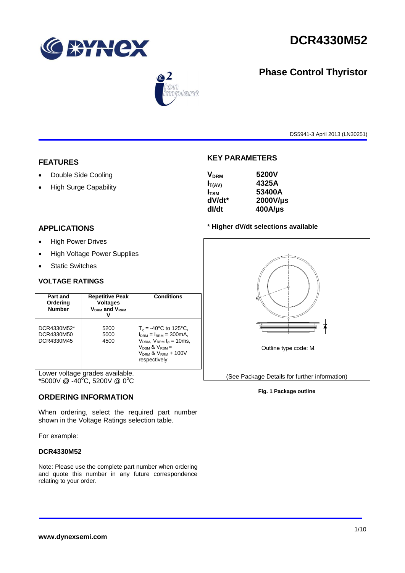

**Phase Control Thyristor**



# $\circledcirc$  2 mplant

DS5941-3 April 2013 (LN30251)

## **FEATURES**

- Double Side Cooling
- High Surge Capability

## **APPLICATIONS**

- High Power Drives
- High Voltage Power Supplies
- Static Switches

#### **VOLTAGE RATINGS**

| Part and<br>Ordering<br><b>Number</b>   | <b>Repetitive Peak</b><br><b>Voltages</b><br>V <sub>DRM</sub> and V <sub>RRM</sub> | <b>Conditions</b>                                                                                                                                                             |
|-----------------------------------------|------------------------------------------------------------------------------------|-------------------------------------------------------------------------------------------------------------------------------------------------------------------------------|
| DCR4330M52*<br>DCR4330M50<br>DCR4330M45 | 5200<br>5000<br>4500                                                               | $T_{\rm vi}$ = -40°C to 125°C,<br>$IDRM = IRRM = 300mA.$<br>$VDRM$ , $VRRM$ t <sub>p</sub> = 10ms,<br>$V_{DSM}$ & $V_{RSM}$ =<br>$V_{DRM}$ & $V_{RRM}$ + 100V<br>respectively |

Lower voltage grades available.  $*5000V \ @ \ -40^{\circ}\text{C}, 5200V \ @ \ 0^{\circ}\text{C}$ 

#### **ORDERING INFORMATION**

When ordering, select the required part number shown in the Voltage Ratings selection table.

For example:

#### **DCR4330M52**

Note: Please use the complete part number when ordering and quote this number in any future correspondence relating to your order.

#### **KEY PARAMETERS**

| <b>V<sub>DRM</sub></b> | 5200V      |
|------------------------|------------|
| $I_{T(AV)}$            | 4325A      |
| $I_{\rm TSM}$          | 53400A     |
| dV/dt*                 | 2000V/µs   |
| dl/dt                  | $400$ A/µs |
|                        |            |

#### \* **Higher dV/dt selections available**



#### **Fig. 1 Package outline**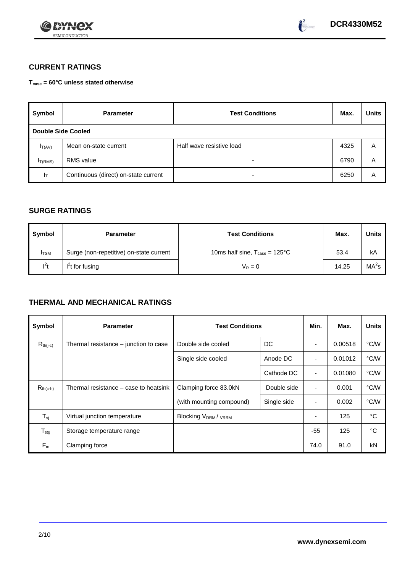



## **CURRENT RATINGS**

**Tcase = 60°C unless stated otherwise**

| Symbol                    | <b>Parameter</b>                     | <b>Test Conditions</b>   | Max. | <b>Units</b> |
|---------------------------|--------------------------------------|--------------------------|------|--------------|
| <b>Double Side Cooled</b> |                                      |                          |      |              |
| $I_T(AV)$                 | Mean on-state current                | Half wave resistive load | 4325 | A            |
| I <sub>T(RMS)</sub>       | <b>RMS</b> value                     | $\overline{\phantom{0}}$ | 6790 | A            |
| $I_{\rm T}$               | Continuous (direct) on-state current | $\overline{\phantom{0}}$ | 6250 | Α            |

#### **SURGE RATINGS**

| Symbol       | <b>Parameter</b>                        | <b>Test Conditions</b>                           | Max.  | <b>Units</b>      |
|--------------|-----------------------------------------|--------------------------------------------------|-------|-------------------|
| <b>I</b> TSM | Surge (non-repetitive) on-state current | 10ms half sine, $T_{\text{case}} = 125^{\circ}C$ | 53.4  | kA                |
| $I^2t$       | $I2t$ for fusing                        | $V_R = 0$                                        | 14.25 | MA <sup>2</sup> s |

## **THERMAL AND MECHANICAL RATINGS**

| Symbol           | <b>Parameter</b>                      | <b>Test Conditions</b>                |             | Min.                     | Max.    | <b>Units</b> |
|------------------|---------------------------------------|---------------------------------------|-------------|--------------------------|---------|--------------|
| $R_{th(j-c)}$    | Thermal resistance – junction to case | Double side cooled                    | DC          |                          | 0.00518 | °C/W         |
|                  |                                       | Single side cooled                    | Anode DC    |                          | 0.01012 | °C/W         |
|                  |                                       |                                       | Cathode DC  | $\overline{\phantom{a}}$ | 0.01080 | °C/W         |
| $R_{th(c-h)}$    | Thermal resistance – case to heatsink | Clamping force 83.0kN                 | Double side | $\blacksquare$           | 0.001   | °C/W         |
|                  |                                       | (with mounting compound)              | Single side |                          | 0.002   | °C/W         |
| $T_{\rm vj}$     | Virtual junction temperature          | <b>Blocking V<sub>DRM</sub>/ VRRM</b> |             |                          | 125     | °C           |
| $T_{\text{stg}}$ | Storage temperature range             |                                       |             | $-55$                    | 125     | °C           |
| $F_m$            | Clamping force                        |                                       |             | 74.0                     | 91.0    | kN           |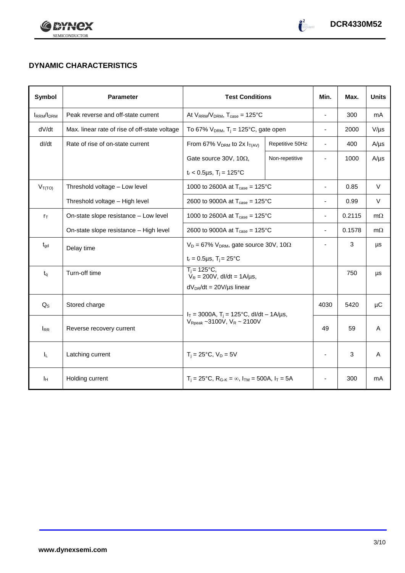



## **DYNAMIC CHARACTERISTICS**

| Symbol            | <b>Parameter</b>                              | <b>Test Conditions</b>                                                                            |                 | Min.                     | Max.   | <b>Units</b> |
|-------------------|-----------------------------------------------|---------------------------------------------------------------------------------------------------|-----------------|--------------------------|--------|--------------|
| <b>IRRM</b> /IDRM | Peak reverse and off-state current            | At $V_{RRM}/V_{DRM}$ , $T_{case} = 125^{\circ}C$                                                  |                 | ÷,                       | 300    | mA           |
| dV/dt             | Max. linear rate of rise of off-state voltage | To 67% $V_{DRM}$ , T <sub>j</sub> = 125°C, gate open                                              |                 | $\overline{\phantom{0}}$ | 2000   | $V/\mu s$    |
| dl/dt             | Rate of rise of on-state current              | From 67% $V_{DRM}$ to 2x $I_{T(AV)}$                                                              | Repetitive 50Hz | $\overline{\phantom{a}}$ | 400    | $A/\mu s$    |
|                   |                                               | Gate source 30V, 10 $\Omega$ ,                                                                    | Non-repetitive  |                          | 1000   | $A/\mu s$    |
|                   |                                               | $t_r$ < 0.5µs, T <sub>i</sub> = 125°C                                                             |                 |                          |        |              |
| $V_{T(TO)}$       | Threshold voltage - Low level                 | 1000 to 2600A at $T_{\text{case}} = 125^{\circ} \text{C}$                                         |                 | $\blacksquare$           | 0.85   | $\vee$       |
|                   | Threshold voltage - High level                | 2600 to 9000A at $T_{\text{case}} = 125^{\circ}C$                                                 |                 | ä,                       | 0.99   | $\vee$       |
| $r_{\text{T}}$    | On-state slope resistance - Low level         | 1000 to 2600A at $T_{\text{case}} = 125^{\circ}C$                                                 |                 | ä,                       | 0.2115 | $m\Omega$    |
|                   | On-state slope resistance - High level        | 2600 to 9000A at $T_{\text{case}} = 125^{\circ}C$                                                 |                 | $\overline{\phantom{0}}$ | 0.1578 | $m\Omega$    |
| $t_{gd}$          | Delay time                                    | $V_D = 67\%$ V <sub>DRM</sub> , gate source 30V, 10 $\Omega$                                      |                 |                          | 3      | μs           |
|                   |                                               | $t_r = 0.5 \mu s$ , $T_i = 25^{\circ}C$                                                           |                 |                          |        |              |
| $t_{q}$           | Turn-off time                                 | $T_i = 125^{\circ}C$ ,<br>$V_R = 200V$ , dl/dt = 1A/µs,                                           |                 |                          | 750    | μs           |
|                   |                                               | $dV_{DR}/dt = 20V/\mu s$ linear                                                                   |                 |                          |        |              |
| $Q_{S}$           | Stored charge                                 | $I_T = 3000A$ , $T_i = 125^{\circ}C$ , dl/dt - 1A/µs,<br>$V_{\text{Rpeak}}$ ~3100V, $V_R$ ~ 2100V |                 | 4030                     | 5420   | μC           |
| $I_{RR}$          | Reverse recovery current                      |                                                                                                   |                 | 49                       | 59     | A            |
| $I_L$             | Latching current                              | $T_i = 25^{\circ}C$ , $V_D = 5V$                                                                  |                 | ä,                       | 3      | A            |
| Īн                | Holding current                               | $T_i = 25^{\circ}C$ , $R_{G-K} = \infty$ , $I_{TM} = 500A$ , $I_T = 5A$                           |                 |                          | 300    | mA           |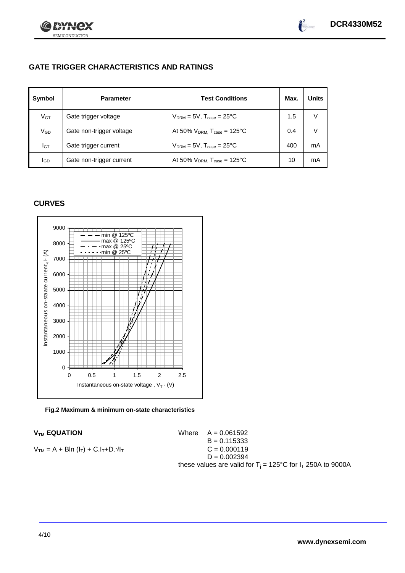



## **GATE TRIGGER CHARACTERISTICS AND RATINGS**

| Symbol       | <b>Parameter</b>         | <b>Test Conditions</b>                    | Max. | <b>Units</b> |
|--------------|--------------------------|-------------------------------------------|------|--------------|
| $V$ GT       | Gate trigger voltage     | $V_{DRM} = 5V$ , $T_{case} = 25^{\circ}C$ | 1.5  | v            |
| $\rm V_{GD}$ | Gate non-trigger voltage | At 50% $V_{DRM}$ , $T_{case}$ = 125°C     | 0.4  | V            |
| Iст          | Gate trigger current     | $V_{DRM} = 5V$ , $T_{case} = 25^{\circ}C$ | 400  | mA           |
| lgp          | Gate non-trigger current | At 50% $V_{DRM}$ , $T_{case}$ = 125°C     | 10   | mA           |

#### **CURVES**



**Fig.2 Maximum & minimum on-state characteristics**

#### **V<sub>TM</sub> EQUATION**

 $V_{TM} = A + BIn (I_T) + C.I_T + D.\sqrt{I_T}$ 

B = 0.115333 D = 0.002394 these values are valid for T<sup>j</sup> = 125°C for I<sup>T</sup> 250A to 9000A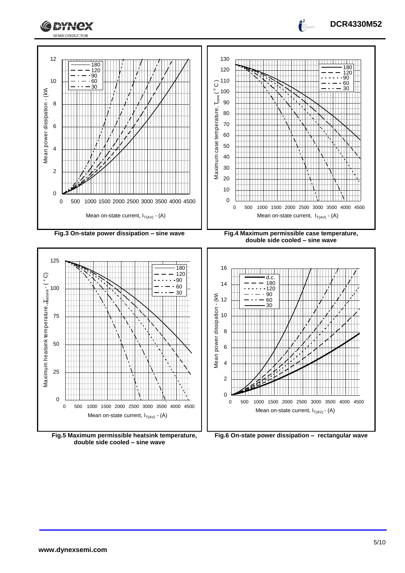

**double side cooled – sine wave**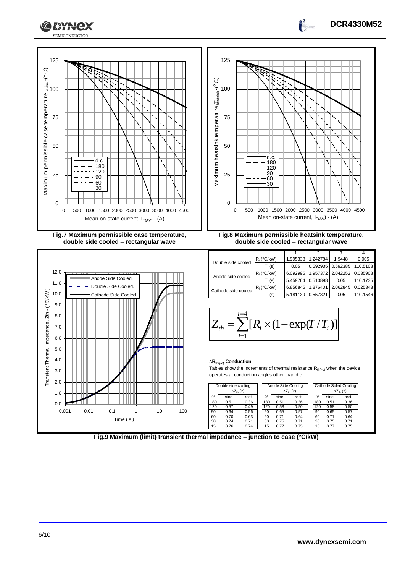

**Fig.9 Maximum (limit) transient thermal impedance – junction to case (°C/kW)**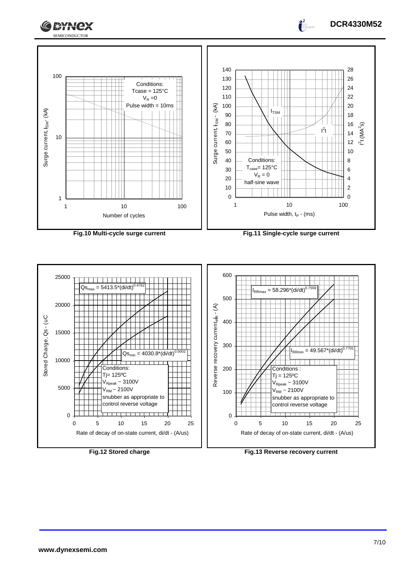

Surge current,  $t_{\text{SM}}$ - (KA)

Surge current,  $t_{\text{SM}}$  (kA)







 $\int_0^2$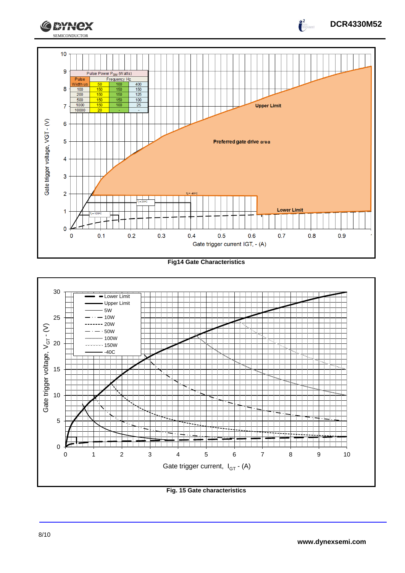

**Fig14 Gate Characteristics**



**Fig. 15 Gate characteristics**

**DCR4330M52**

 $\int_{0}^{2}$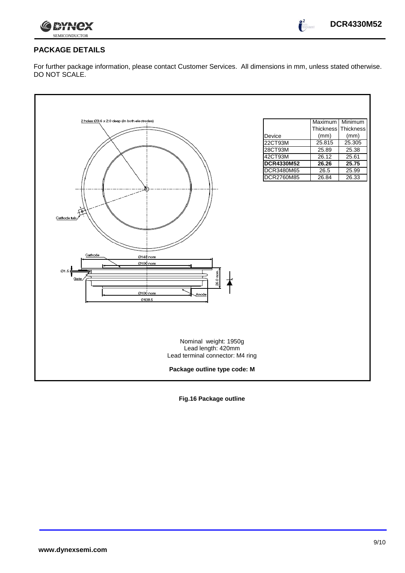



 $\int_{0}^{2}$ 

## **PACKAGE DETAILS**

For further package information, please contact Customer Services. All dimensions in mm, unless stated otherwise. DO NOT SCALE.

| 2 holes Ø3.6 x 2.0 deep (In both electrodes) |                   | Maximum             | Minimum |
|----------------------------------------------|-------------------|---------------------|---------|
|                                              |                   | Thickness Thickness |         |
|                                              | Device            | (mm)                | (mm)    |
|                                              | 22CT93M           | 25.815              | 25.305  |
|                                              | 28CT93M           | 25.89               | 25.38   |
|                                              | 42CT93M           | 26.12               | 25.61   |
|                                              | <b>DCR4330M52</b> | 26.26               | 25.75   |
|                                              | DCR3480M65        | 26.5                | 25.99   |
|                                              | DCR2760M85        | 26.84               | 26.33   |
|                                              |                   |                     |         |
|                                              |                   |                     |         |
|                                              |                   |                     |         |
|                                              |                   |                     |         |
| Cathode tab                                  |                   |                     |         |
|                                              |                   |                     |         |
|                                              |                   |                     |         |
|                                              |                   |                     |         |
|                                              |                   |                     |         |
| Cathode                                      |                   |                     |         |
| Ø148 nom<br>Ø100 nom                         |                   |                     |         |
|                                              |                   |                     |         |
| Ø1.5<br>26.0 nom.                            |                   |                     |         |
| Gate                                         |                   |                     |         |
|                                              |                   |                     |         |
| Ø100 nom<br>Anode<br>0138.5                  |                   |                     |         |
|                                              |                   |                     |         |
|                                              |                   |                     |         |
|                                              |                   |                     |         |
|                                              |                   |                     |         |
|                                              |                   |                     |         |
| Nominal weight: 1950g                        |                   |                     |         |
| Lead length: 420mm                           |                   |                     |         |
| Lead terminal connector: M4 ring             |                   |                     |         |
|                                              |                   |                     |         |
| Package outline type code: M                 |                   |                     |         |
|                                              |                   |                     |         |

**Fig.16 Package outline**